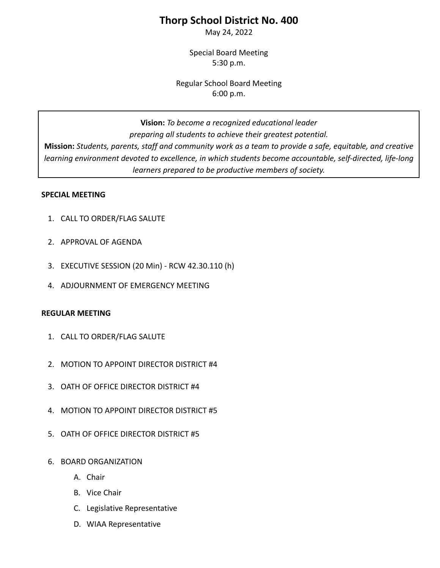# **Thorp School District No. 400**

May 24, 2022

Special Board Meeting 5:30 p.m.

Regular School Board Meeting 6:00 p.m.

**Vision:** *To become a recognized educational leader preparing all students to achieve their greatest potential.* **Mission:** *Students, parents, staff and community work as a team to provide a safe, equitable, and creative learning environment devoted to excellence, in which students become accountable, self-directed, life-long learners prepared to be productive members of society.*

### **SPECIAL MEETING**

- 1. CALL TO ORDER/FLAG SALUTE
- 2. APPROVAL OF AGENDA
- 3. EXECUTIVE SESSION (20 Min) RCW [42.30.110](http://app.leg.wa.gov/RCW/default.aspx?cite=42.30.110) (h)
- 4. ADJOURNMENT OF EMERGENCY MEETING

### **REGULAR MEETING**

- 1. CALL TO ORDER/FLAG SALUTE
- 2. MOTION TO APPOINT DIRECTOR DISTRICT #4
- 3. OATH OF OFFICE DIRECTOR DISTRICT #4
- 4. MOTION TO APPOINT DIRECTOR DISTRICT #5
- 5. OATH OF OFFICE DIRECTOR DISTRICT #5
- 6. BOARD ORGANIZATION
	- A. Chair
	- B. Vice Chair
	- C. Legislative Representative
	- D. WIAA Representative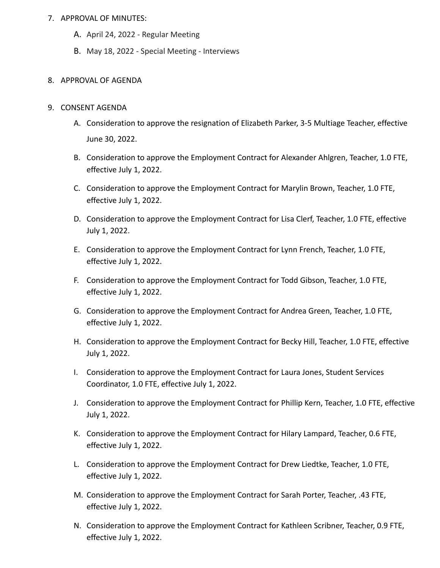#### 7. APPROVAL OF MINUTES:

- A. April 24, 2022 Regular Meeting
- B. May 18, 2022 Special Meeting Interviews

#### 8. APPROVAL OF AGENDA

#### 9. CONSENT AGENDA

- A. Consideration to approve the resignation of Elizabeth Parker, 3-5 Multiage Teacher, effective June 30, 2022.
- B. Consideration to approve the Employment Contract for Alexander Ahlgren, Teacher, 1.0 FTE, effective July 1, 2022.
- C. Consideration to approve the Employment Contract for Marylin Brown, Teacher, 1.0 FTE, effective July 1, 2022.
- D. Consideration to approve the Employment Contract for Lisa Clerf, Teacher, 1.0 FTE, effective July 1, 2022.
- E. Consideration to approve the Employment Contract for Lynn French, Teacher, 1.0 FTE, effective July 1, 2022.
- F. Consideration to approve the Employment Contract for Todd Gibson, Teacher, 1.0 FTE, effective July 1, 2022.
- G. Consideration to approve the Employment Contract for Andrea Green, Teacher, 1.0 FTE, effective July 1, 2022.
- H. Consideration to approve the Employment Contract for Becky Hill, Teacher, 1.0 FTE, effective July 1, 2022.
- I. Consideration to approve the Employment Contract for Laura Jones, Student Services Coordinator, 1.0 FTE, effective July 1, 2022.
- J. Consideration to approve the Employment Contract for Phillip Kern, Teacher, 1.0 FTE, effective July 1, 2022.
- K. Consideration to approve the Employment Contract for Hilary Lampard, Teacher, 0.6 FTE, effective July 1, 2022.
- L. Consideration to approve the Employment Contract for Drew Liedtke, Teacher, 1.0 FTE, effective July 1, 2022.
- M. Consideration to approve the Employment Contract for Sarah Porter, Teacher, .43 FTE, effective July 1, 2022.
- N. Consideration to approve the Employment Contract for Kathleen Scribner, Teacher, 0.9 FTE, effective July 1, 2022.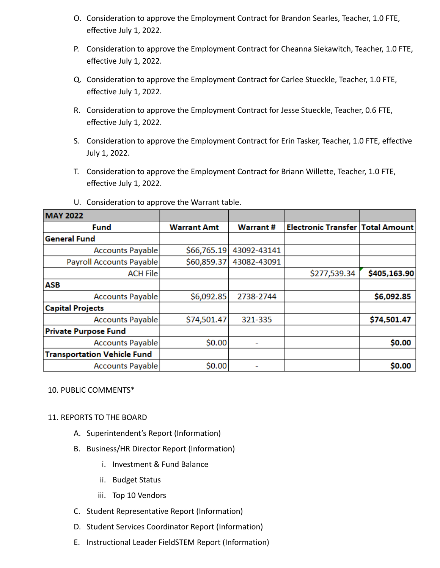- O. Consideration to approve the Employment Contract for Brandon Searles, Teacher, 1.0 FTE, effective July 1, 2022.
- P. Consideration to approve the Employment Contract for Cheanna Siekawitch, Teacher, 1.0 FTE, effective July 1, 2022.
- Q. Consideration to approve the Employment Contract for Carlee Stueckle, Teacher, 1.0 FTE, effective July 1, 2022.
- R. Consideration to approve the Employment Contract for Jesse Stueckle, Teacher, 0.6 FTE, effective July 1, 2022.
- S. Consideration to approve the Employment Contract for Erin Tasker, Teacher, 1.0 FTE, effective July 1, 2022.
- T. Consideration to approve the Employment Contract for Briann Willette, Teacher, 1.0 FTE, effective July 1, 2022.

| <b>MAY 2022</b>                    |                    |             |                                         |              |
|------------------------------------|--------------------|-------------|-----------------------------------------|--------------|
| Fund                               | <b>Warrant Amt</b> | Warrant #   | <b>Electronic Transfer Total Amount</b> |              |
| <b>General Fund</b>                |                    |             |                                         |              |
| <b>Accounts Payable</b>            | \$66,765.19        | 43092-43141 |                                         |              |
| <b>Payroll Accounts Payable</b>    | \$60,859.37        | 43082-43091 |                                         |              |
| <b>ACH File</b>                    |                    |             | \$277,539.34                            | \$405,163.90 |
| <b>ASB</b>                         |                    |             |                                         |              |
| <b>Accounts Payable</b>            | \$6,092.85         | 2738-2744   |                                         | \$6,092.85   |
| <b>Capital Projects</b>            |                    |             |                                         |              |
| <b>Accounts Payable</b>            | \$74,501.47        | 321-335     |                                         | \$74,501.47  |
| <b>Private Purpose Fund</b>        |                    |             |                                         |              |
| <b>Accounts Payable</b>            | \$0.00             | ٠           |                                         | \$0.00       |
| <b>Transportation Vehicle Fund</b> |                    |             |                                         |              |
| <b>Accounts Payable</b>            | \$0.00             |             |                                         | \$0.00       |

U. Consideration to approve the Warrant table.

### 10. PUBLIC COMMENTS\*

### 11. REPORTS TO THE BOARD

- A. Superintendent's Report (Information)
- B. Business/HR Director Report (Information)
	- i. Investment & Fund Balance
	- ii. Budget Status
	- iii. Top 10 Vendors
- C. Student Representative Report (Information)
- D. Student Services Coordinator Report (Information)
- E. Instructional Leader FieldSTEM Report (Information)